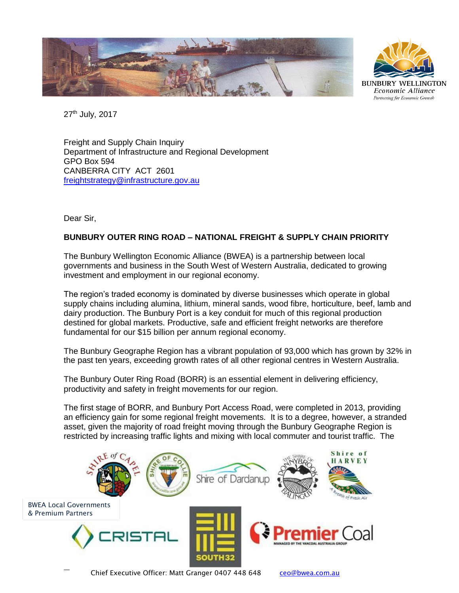



27<sup>th</sup> July, 2017

Freight and Supply Chain Inquiry Department of Infrastructure and Regional Development GPO Box 594 CANBERRA CITY ACT 2601 [freightstrategy@infrastructure.gov.au](mailto:freightstrategy@infrastructure.gov.au)

Dear Sir,

## **BUNBURY OUTER RING ROAD – NATIONAL FREIGHT & SUPPLY CHAIN PRIORITY**

The Bunbury Wellington Economic Alliance (BWEA) is a partnership between local governments and business in the South West of Western Australia, dedicated to growing investment and employment in our regional economy.

The region's traded economy is dominated by diverse businesses which operate in global supply chains including alumina, lithium, mineral sands, wood fibre, horticulture, beef, lamb and dairy production. The Bunbury Port is a key conduit for much of this regional production destined for global markets. Productive, safe and efficient freight networks are therefore fundamental for our \$15 billion per annum regional economy.

The Bunbury Geographe Region has a vibrant population of 93,000 which has grown by 32% in the past ten years, exceeding growth rates of all other regional centres in Western Australia.

The Bunbury Outer Ring Road (BORR) is an essential element in delivering efficiency, productivity and safety in freight movements for our region.

The first stage of BORR, and Bunbury Port Access Road, were completed in 2013, providing an efficiency gain for some regional freight movements. It is to a degree, however, a stranded asset, given the majority of road freight moving through the Bunbury Geographe Region is restricted by increasing traffic lights and mixing with local commuter and tourist traffic. The

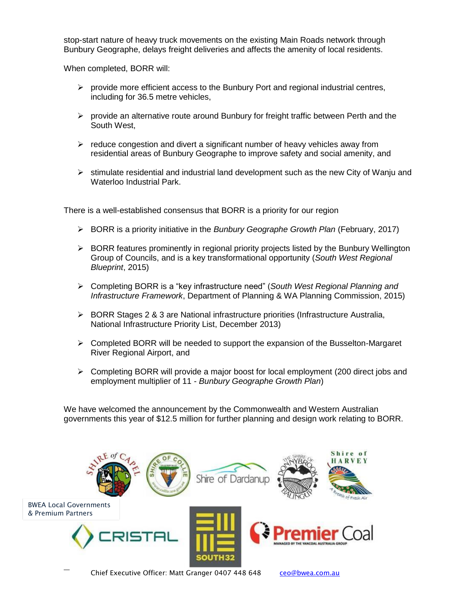stop-start nature of heavy truck movements on the existing Main Roads network through Bunbury Geographe, delays freight deliveries and affects the amenity of local residents.

When completed, BORR will:

- $\triangleright$  provide more efficient access to the Bunbury Port and regional industrial centres, including for 36.5 metre vehicles,
- $\triangleright$  provide an alternative route around Bunbury for freight traffic between Perth and the South West,
- $\triangleright$  reduce congestion and divert a significant number of heavy vehicles away from residential areas of Bunbury Geographe to improve safety and social amenity, and
- ➢ stimulate residential and industrial land development such as the new City of Wanju and Waterloo Industrial Park.

There is a well-established consensus that BORR is a priority for our region

- ➢ BORR is a priority initiative in the *Bunbury Geographe Growth Plan* (February, 2017)
- $\triangleright$  BORR features prominently in regional priority projects listed by the Bunbury Wellington Group of Councils, and is a key transformational opportunity (*South West Regional Blueprint*, 2015)
- ➢ Completing BORR is a "key infrastructure need" (*South West Regional Planning and Infrastructure Framework*, Department of Planning & WA Planning Commission, 2015)
- ➢ BORR Stages 2 & 3 are National infrastructure priorities (Infrastructure Australia, National Infrastructure Priority List, December 2013)
- $\triangleright$  Completed BORR will be needed to support the expansion of the Busselton-Margaret River Regional Airport, and
- ➢ Completing BORR will provide a major boost for local employment (200 direct jobs and employment multiplier of 11 - *Bunbury Geographe Growth Plan*)

We have welcomed the announcement by the Commonwealth and Western Australian governments this year of \$12.5 million for further planning and design work relating to BORR.